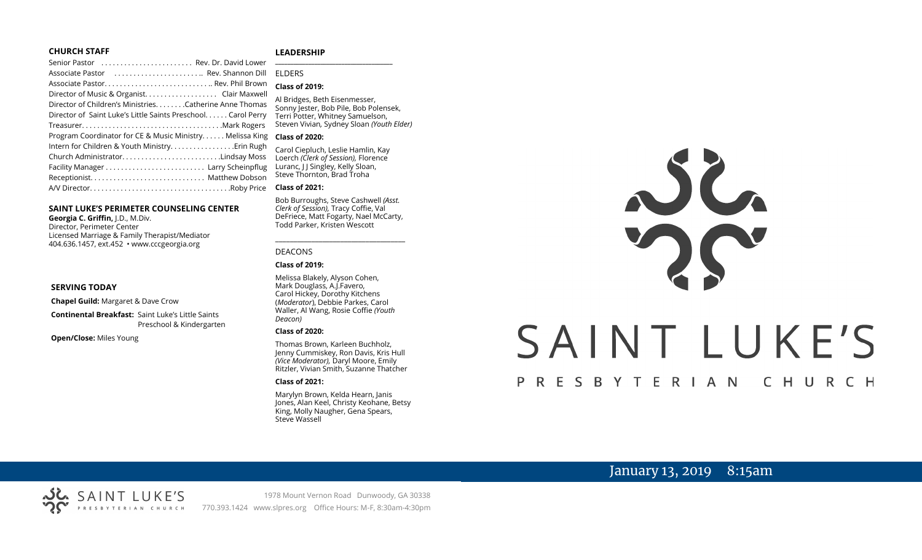#### **CHURCH STAFF**

#### **LEADERSHIP**

| Senior Pastor  Rev. Dr. David Lower                           | $\overline{a}$ |
|---------------------------------------------------------------|----------------|
| Associate Pastor  Rev. Shannon Dill                           | F              |
|                                                               |                |
| Director of Music & Organist. Clair Maxwell                   |                |
| Director of Children's MinistriesCatherine Anne Thomas        | F<br>.<br>S    |
| Director of Saint Luke's Little Saints Preschool. Carol Perry | Ī              |
|                                                               | S              |
| Program Coordinator for CE & Music Ministry Melissa King      | $\epsilon$     |
| Intern for Children & Youth Ministry Erin Rugh                | $\epsilon$     |
| Church AdministratorLindsay Moss                              | $\mathbf{I}$   |
|                                                               | L              |
|                                                               | S              |
|                                                               | C              |
|                                                               |                |

#### **SAINT LUKE'S PERIMETER COUNSELING CENTER**

**Georgia C. Griffin,** J.D., M.Div. Director, Perimeter Center Licensed Marriage & Family Therapist/Mediator 404.636.1457, ext.452 • www.cccgeorgia.org

#### **SERVING TODAY**

**Chapel Guild:** Margaret & Dave Crow

**Continental Breakfast:** Saint Luke's Little Saints Preschool & Kindergarten

**Open/Close:** Miles Young

#### **\_\_\_\_\_\_\_\_\_\_\_\_\_\_\_\_\_\_\_\_\_\_\_\_\_\_\_\_\_\_\_\_\_\_\_\_\_\_\_** ELDERS

#### **Class of 2019:**

Al Bridges, Beth Eisenmesser, Sonny Jester, Bob Pile, Bob Polensek, Terri Potter, Whitney Samuelson, Steven Vivian*,* Sydney Sloan *(Youth Elder)*

#### **Class of 2020:**

Carol Ciepluch, Leslie Hamlin, Kay Loerch *(Clerk of Session),* Florence Luranc, J J Singley, Kelly Sloan, Steve Thornton, Brad Troha

#### **Class of 2021:**

Bob Burroughs, Steve Cashwell *(Asst. Clerk of Session),* Tracy Coffie, Val DeFriece, Matt Fogarty, Nael McCarty, Todd Parker, Kristen Wescott

\_\_\_\_\_\_\_\_\_\_\_\_\_\_\_\_\_\_\_\_\_\_\_\_\_\_\_\_\_\_\_\_\_\_\_\_

#### DEACONS

#### **Class of 2019:**

Melissa Blakely, Alyson Cohen, Mark Douglass, A.J.Favero, Carol Hickey, Dorothy Kitchens (*Moderator*), Debbie Parkes, Carol Waller, Al Wang, Rosie Coffie *(Youth Deacon)* 

#### **Class of 2020:**

Thomas Brown, Karleen Buchholz, Jenny Cummiskey, Ron Davis, Kris Hull *(Vice Moderator),* Daryl Moore, Emily Ritzler, Vivian Smith, Suzanne Thatcher

#### **Class of 2021:**

Marylyn Brown, Kelda Hearn, Janis Jones, Alan Keel, Christy Keohane, Betsy King, Molly Naugher, Gena Spears, Steve Wassell

# SC SAINT LUKE'S P R E S B Y T E R I A N CHURCH

# January 13, 2019 8:15am

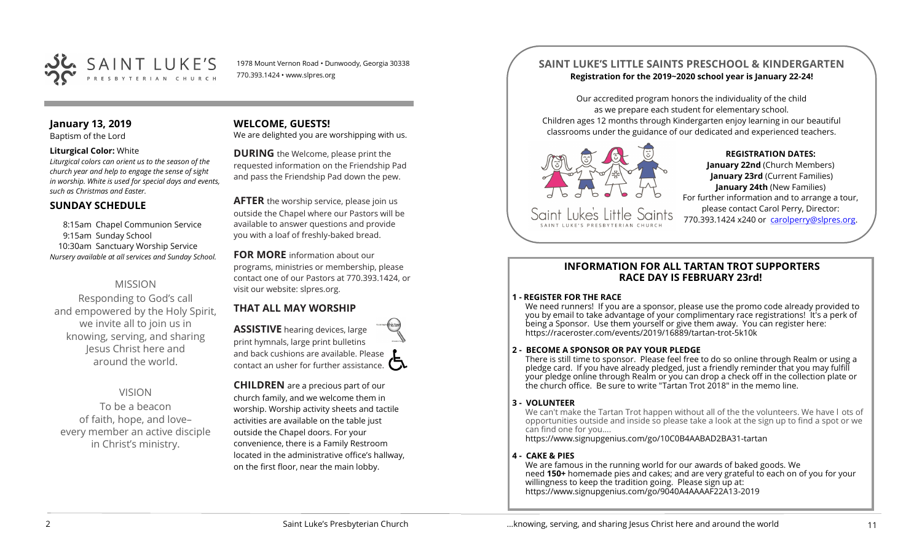

1978 Mount Vernon Road • Dunwoody, Georgia 30338 770.393.1424 • www.slpres.org

#### **January 13, 2019**

Baptism of the Lord

#### **Liturgical Color:** White

*Liturgical colors can orient us to the season of the church year and help to engage the sense of sight in worship. White is used for special days and events, such as Christmas and Easter.*

#### **SUNDAY SCHEDULE**

8:15am Chapel Communion Service 9:15am Sunday School 10:30am Sanctuary Worship Service *Nursery available at all services and Sunday School.* 

#### MISSION

Responding to God's call and empowered by the Holy Spirit, we invite all to join us in knowing, serving, and sharing Jesus Christ here and around the world.

#### VISION

To be a beacon of faith, hope, and love– every member an active disciple in Christ's ministry.

## **WELCOME, GUESTS!**

We are delighted you are worshipping with us.

**DURING** the Welcome, please print the requested information on the Friendship Pad and pass the Friendship Pad down the pew.

**AFTER** the worship service, please join us outside the Chapel where our Pastors will be available to answer questions and provide you with a loaf of freshly-baked bread.

#### **FOR MORE** information about our

programs, ministries or membership, please contact one of our Pastors at 770.393.1424, or visit our website: slpres.org.

#### **THAT ALL MAY WORSHIP**

**ASSISTIVE** hearing devices, large print hymnals, large print bulletins and back cushions are available. Please contact an usher for further assistance.  $\square$ 

**CHILDREN** are a precious part of our church family, and we welcome them in worship. Worship activity sheets and tactile activities are available on the table just outside the Chapel doors. For your convenience, there is a Family Restroom located in the administrative office's hallway, on the first floor, near the main lobby.

#### **SAINT LUKE'S LITTLE SAINTS PRESCHOOL & KINDERGARTEN Registration for the 2019~2020 school year is January 22-24!**

Our accredited program honors the individuality of the child as we prepare each student for elementary school. Children ages 12 months through Kindergarten enjoy learning in our beautiful classrooms under the guidance of our dedicated and experienced teachers.



CAINT LIIKE'S PRESRYTERIAN

#### **REGISTRATION DATES:**

**January 22nd** (Church Members) **January 23rd** (Current Families) **January 24th** (New Families) For further information and to arrange a tour, please contact Carol Perry, Director: 770.393.1424 x240 or [carolperry@slpres.org.](mailto:carolperry@slpres.org)

#### **INFORMATION FOR ALL TARTAN TROT SUPPORTERS RACE DAY IS FEBRUARY 23rd!**

#### **1 - REGISTER FOR THE RACE**

We need runners! If you are a sponsor, please use the promo code already provided to you by email to take advantage of your complimentary race registrations! It's a perk of being a Sponsor. Use them yourself or give them away. You can register here: [https://raceroster.com/events/2019/16889/tartan](https://raceroster.com/events/2019/16889/tartan-trot-5k10k)-trot-5k10k

#### **2 - BECOME A SPONSOR OR PAY YOUR PLEDGE**

There is still time to sponsor. Please feel free to do so online through Realm or using a pledge card. If you have already pledged, just a friendly reminder that you may fulfill your pledge online through Realm or you can drop a check off in the collection plate or the church office. Be sure to write "Tartan Trot 2018" in the memo line.

#### **3 - VOLUNTEER**

We can't make the Tartan Trot happen without all of the the volunteers. We have l ots of opportunities outside and inside so please take a look at the sign up to find a spot or we can find one for you....

[https://www.signupgenius.com/go/10C0B4AABAD2BA31](https://www.signupgenius.com/go/10C0B4AABAD2BA31-tartan)-tartan

#### **4 - CAKE & PIES**

We are famous in the running world for our awards of baked goods. We need **150+** homemade pies and cakes; and are very grateful to each on of you for your willingness to keep the tradition going. Please sign up at: [https://www.signupgenius.com/go/9040A4AAAAF22A13](https://www.signupgenius.com/go/9040A4AAAAF22A13-2019)-2019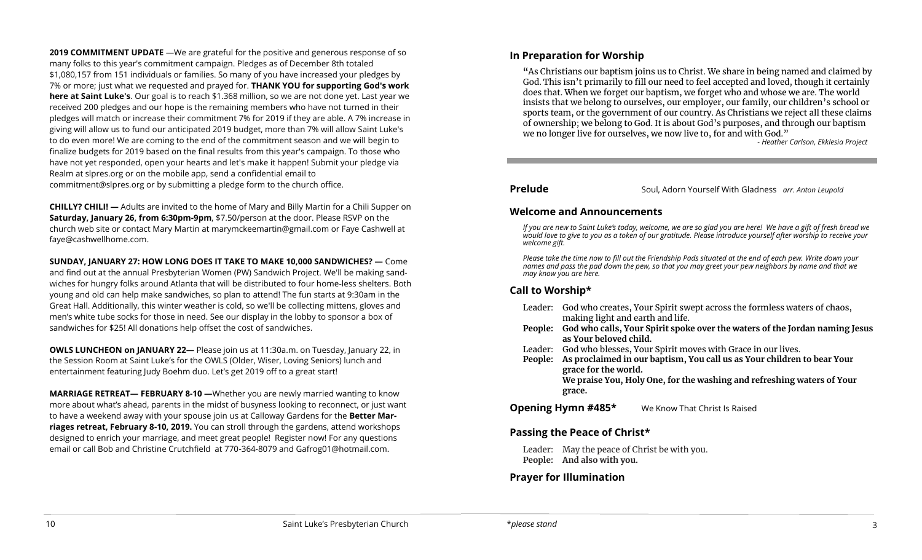**2019 COMMITMENT UPDATE** —We are grateful for the positive and generous response of so many folks to this year's commitment campaign. Pledges as of December 8th totaled \$1,080,157 from 151 individuals or families. So many of you have increased your pledges by 7% or more; just what we requested and prayed for. **THANK YOU for supporting God's work here at Saint Luke's**. Our goal is to reach \$1.368 million, so we are not done yet. Last year we received 200 pledges and our hope is the remaining members who have not turned in their pledges will match or increase their commitment 7% for 2019 if they are able. A 7% increase in giving will allow us to fund our anticipated 2019 budget, more than 7% will allow Saint Luke's to do even more! We are coming to the end of the commitment season and we will begin to finalize budgets for 2019 based on the final results from this year's campaign. To those who have not yet responded, open your hearts and let's make it happen! Submit your pledge via Realm at slpres.org or on the mobile app, send a confidential email to [commitment@slpres.org](mailto:commitment@slpres.org) or by submitting a pledge form to the church office.

**CHILLY? CHILI! —** Adults are invited to the home of Mary and Billy Martin for a Chili Supper on **Saturday, January 26, from 6:30pm-9pm**, \$7.50/person at the door. Please RSVP on the church web site or contact Mary Martin at [marymckeemartin@gmail.com](mailto:marymckeemartin@gmail.com) or Faye Cashwell at [faye@cashwellhome.com.](mailto:faye@cashwellhome.com)

**SUNDAY, JANUARY 27: HOW LONG DOES IT TAKE TO MAKE 10,000 SANDWICHES? —** Come and find out at the annual Presbyterian Women (PW) Sandwich Project. We'll be making sandwiches for hungry folks around Atlanta that will be distributed to four home-less shelters. Both young and old can help make sandwiches, so plan to attend! The fun starts at 9:30am in the Great Hall. Additionally, this winter weather is cold, so we'll be collecting mittens, gloves and men's white tube socks for those in need. See our display in the lobby to sponsor a box of sandwiches for \$25! All donations help offset the cost of sandwiches.

**OWLS LUNCHEON on JANUARY 22—** Please join us at 11:30a.m. on Tuesday, January 22, in the Session Room at Saint Luke's for the OWLS (Older, Wiser, Loving Seniors) lunch and entertainment featuring Judy Boehm duo. Let's get 2019 off to a great start!

**MARRIAGE RETREAT— FEBRUARY 8-10 —**Whether you are newly married wanting to know more about what's ahead, parents in the midst of busyness looking to reconnect, or just want to have a weekend away with your spouse join us at Calloway Gardens for the **Better Marriages retreat, February 8-10, 2019.** You can stroll through the gardens, attend workshops designed to enrich your marriage, and meet great people! Register now! For any questions email or call Bob and Christine Crutchfield at 770-364-8079 and [Gafrog01@hotmail.com.](mailto:Gafrog01@hotmail.com) 

#### **In Preparation for Worship**

**"**As Christians our baptism joins us to Christ. We share in being named and claimed by God. This isn't primarily to fill our need to feel accepted and loved, though it certainly does that. When we forget our baptism, we forget who and whose we are. The world insists that we belong to ourselves, our employer, our family, our children's school or sports team, or the government of our country. As Christians we reject all these claims of ownership; we belong to God. It is about God's purposes, and through our baptism we no longer live for ourselves, we now live to, for and with God."

*- Heather Carlson, Ekklesia Project*

**Prelude** Soul, Adorn Yourself With Gladness *arr. Anton Leupold* 

#### **Welcome and Announcements**

*If you are new to Saint Luke's today, welcome, we are so glad you are here! We have a gift of fresh bread we would love to give to you as a token of our gratitude. Please introduce yourself after worship to receive your welcome gift.*

*Please take the time now to fill out the Friendship Pads situated at the end of each pew. Write down your names and pass the pad down the pew, so that you may greet your pew neighbors by name and that we may know you are here.*

#### **Call to Worship\***

| Leader: God who creates, Your Spirit swept across the formless waters of chaos, |
|---------------------------------------------------------------------------------|
| making light and earth and life.                                                |

- **People: God who calls, Your Spirit spoke over the waters of the Jordan naming Jesus as Your beloved child.**
- Leader: God who blesses, Your Spirit moves with Grace in our lives.
- **People: As proclaimed in our baptism, You call us as Your children to bear Your grace for the world.**

**We praise You, Holy One, for the washing and refreshing waters of Your grace.**

**Opening Hymn #485\*** We Know That Christ Is Raised

#### **Passing the Peace of Christ\***

Leader: May the peace of Christ be with you. **People: And also with you.** 

#### **Prayer for Illumination**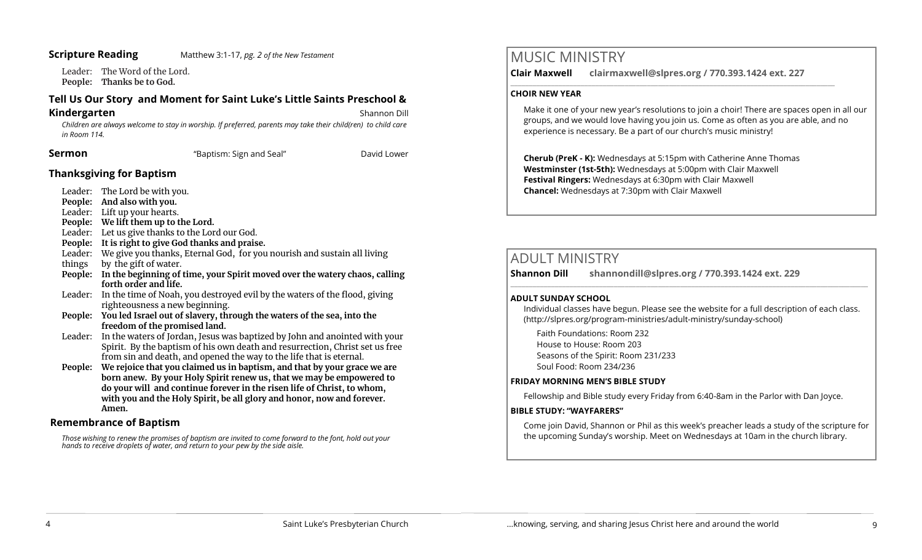#### **Scripture Reading** Matthew 3:1-17, *pg. 2 of the New Testament*

Leader: The Word of the Lord. **People: Thanks be to God.** 

#### **Tell Us Our Story and Moment for Saint Luke's Little Saints Preschool &**

#### **Kindergarten**<br> **Kindergarten**

*Children are always welcome to stay in worship. If preferred, parents may take their child(ren) to child care in Room 114.*

**Sermon Example 3 Constant Constant Constant Constant Constant Constant Constant Constant Constant Constant Constant Constant Constant Constant Constant Constant Constant Constant Constant Constant Constant Constant Co** 

#### **Thanksgiving for Baptism**

- Leader: The Lord be with you.
- **People: And also with you.**
- Leader: Lift up your hearts.
- **People: We lift them up to the Lord.**
- Leader: Let us give thanks to the Lord our God.
- **People: It is right to give God thanks and praise.**
- Leader: We give you thanks, Eternal God, for you nourish and sustain all living
- things by the gift of water.
- **People: In the beginning of time, your Spirit moved over the watery chaos, calling forth order and life.**
- Leader: In the time of Noah, you destroyed evil by the waters of the flood, giving righteousness a new beginning.
- **People: You led Israel out of slavery, through the waters of the sea, into the freedom of the promised land.**
- Leader: In the waters of Jordan, Jesus was baptized by John and anointed with your Spirit. By the baptism of his own death and resurrection, Christ set us free from sin and death, and opened the way to the life that is eternal.
- **People: We rejoice that you claimed us in baptism, and that by your grace we are born anew. By your Holy Spirit renew us, that we may be empowered to do your will and continue forever in the risen life of Christ, to whom, with you and the Holy Spirit, be all glory and honor, now and forever. Amen.**

#### **Remembrance of Baptism**

*Those wishing to renew the promises of baptism are invited to come forward to the font, hold out your hands to receive droplets of water, and return to your pew by the side aisle.*

# MUSIC MINISTRY

**Clair Maxwell clairmaxwell@slpres.org / 770.393.1424 ext. 227** 

 $\_$  , and the set of the set of the set of the set of the set of the set of the set of the set of the set of the set of the set of the set of the set of the set of the set of the set of the set of the set of the set of th

#### **CHOIR NEW YEAR**

Make it one of your new year's resolutions to join a choir! There are spaces open in all our groups, and we would love having you join us. Come as often as you are able, and no experience is necessary. Be a part of our church's music ministry!

**Cherub (PreK - K):** Wednesdays at 5:15pm with Catherine Anne Thomas **Westminster (1st-5th):** Wednesdays at 5:00pm with Clair Maxwell **Festival Ringers:** Wednesdays at 6:30pm with Clair Maxwell **Chancel:** Wednesdays at 7:30pm with Clair Maxwell

# ADULT MINISTRY

**Shannon Dill shannondill@slpres.org / 770.393.1424 ext. 229**   $\_$  ,  $\_$  ,  $\_$  ,  $\_$  ,  $\_$  ,  $\_$  ,  $\_$  ,  $\_$  ,  $\_$  ,  $\_$  ,  $\_$  ,  $\_$  ,  $\_$  ,  $\_$  ,  $\_$  ,  $\_$  ,  $\_$  ,  $\_$  ,  $\_$  ,  $\_$ 

#### **ADULT SUNDAY SCHOOL**

Individual classes have begun. Please see the website for a full description of each class. (http://slpres.org/program-ministries/adult-ministry/sunday-school)

Faith Foundations: Room 232 House to House: Room 203 Seasons of the Spirit: Room 231/233 Soul Food: Room 234/236

#### **FRIDAY MORNING MEN'S BIBLE STUDY**

Fellowship and Bible study every Friday from 6:40-8am in the Parlor with Dan Joyce.

#### **BIBLE STUDY: "WAYFARERS"**

Come join David, Shannon or Phil as this week's preacher leads a study of the scripture for the upcoming Sunday's worship. Meet on Wednesdays at 10am in the church library.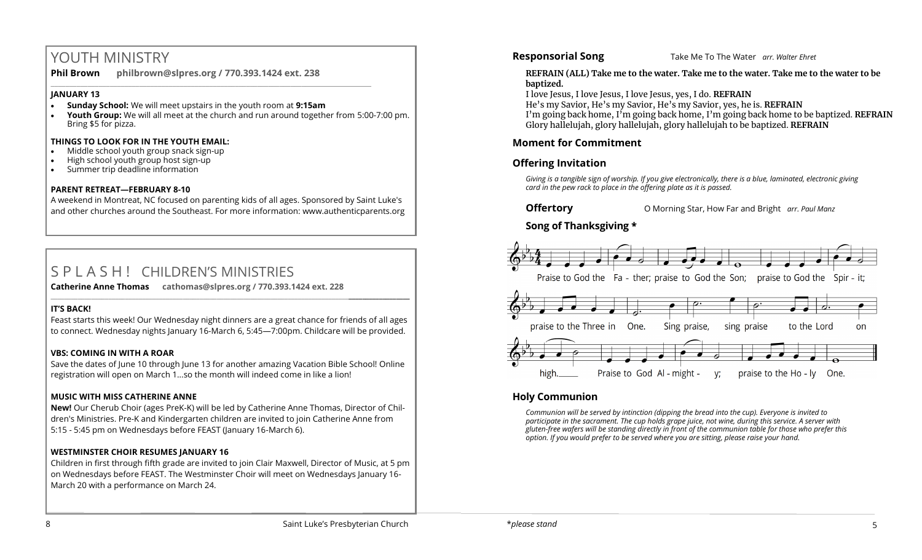# YOUTH MINISTRY

**Phil Brown philbrown@slpres.org / 770.393.1424 ext. 238** 

#### **JANUARY 13**

- **Sunday School:** We will meet upstairs in the youth room at **9:15am**
- **Youth Group:** We will all meet at the church and run around together from 5:00-7:00 pm. Bring \$5 for pizza.

\_\_\_\_\_\_\_\_\_\_\_\_\_\_\_\_\_\_\_\_\_\_\_\_\_\_\_\_\_\_\_\_\_\_\_\_\_\_\_\_\_\_\_\_\_\_\_\_\_\_\_\_\_\_\_\_\_\_\_\_\_\_\_\_\_\_\_\_\_\_\_\_\_\_\_\_\_\_\_\_\_\_\_\_\_\_\_

#### **THINGS TO LOOK FOR IN THE YOUTH EMAIL:**

- Middle school youth group snack sign-up
- High school youth group host sign-up
- Summer trip deadline information

#### **PARENT RETREAT—FEBRUARY 8-10**

A weekend in Montreat, NC focused on parenting kids of all ages. Sponsored by Saint Luke's and other churches around the Southeast. For more information: [www.authenticparents.org](http://www.authenticparents.org)

# S P L A S H ! CHILDREN'S MINISTRIES

**Catherine Anne Thomas cathomas@slpres.org / 770.393.1424 ext. 228 \_\_\_\_\_\_\_\_\_\_\_\_\_\_\_\_\_\_\_\_\_\_\_\_\_\_\_\_\_\_\_\_\_\_\_\_\_\_\_\_\_\_\_\_\_\_\_\_\_\_\_\_\_\_\_\_\_\_\_\_\_\_\_\_\_\_\_\_\_\_\_\_\_\_\_\_\_\_\_\_\_\_\_\_\_\_\_\_\_\_\_\_\_\_\_\_\_\_\_\_\_\_\_\_\_\_** 

#### **IT'S BACK!**

Feast starts this week! Our Wednesday night dinners are a great chance for friends of all ages to connect. Wednesday nights January 16-March 6, 5:45—7:00pm. Childcare will be provided.

#### **VBS: COMING IN WITH A ROAR**

Save the dates of June 10 through June 13 for another amazing Vacation Bible School! Online registration will open on March 1…so the month will indeed come in like a lion!

#### **MUSIC WITH MISS CATHERINE ANNE**

**New!** Our Cherub Choir (ages PreK-K) will be led by Catherine Anne Thomas, Director of Children's Ministries. Pre-K and Kindergarten children are invited to join Catherine Anne from 5:15 - 5:45 pm on Wednesdays before FEAST (January 16-March 6).

## **WESTMINSTER CHOIR RESUMES JANUARY 16**

Children in first through fifth grade are invited to join Clair Maxwell, Director of Music, at 5 pm on Wednesdays before FEAST. The Westminster Choir will meet on Wednesdays January 16- March 20 with a performance on March 24.

**Responsorial Song** Take Me To The Water *arr. Walter Ehret* 

#### **REFRAIN (ALL) Take me to the water. Take me to the water. Take me to the water to be baptized.**

I love Jesus, I love Jesus, I love Jesus, yes, I do. **REFRAIN**

He's my Savior, He's my Savior, He's my Savior, yes, he is. **REFRAIN** I'm going back home, I'm going back home, I'm going back home to be baptized. **REFRAIN** Glory hallelujah, glory hallelujah, glory hallelujah to be baptized. **REFRAIN**

## **Moment for Commitment**

## **Offering Invitation**

*Giving is a tangible sign of worship. If you give electronically, there is a blue, laminated, electronic giving card in the pew rack to place in the offering plate as it is passed.*

## **Song of Thanksgiving**



## **Holy Communion**

*Communion will be served by intinction (dipping the bread into the cup). Everyone is invited to participate in the sacrament. The cup holds grape juice, not wine, during this service. A server with gluten-free wafers will be standing directly in front of the communion table for those who prefer this option. If you would prefer to be served where you are sitting, please raise your hand.*

**Offertory O Morning Star, How Far and Bright** *arr. Paul Manz*